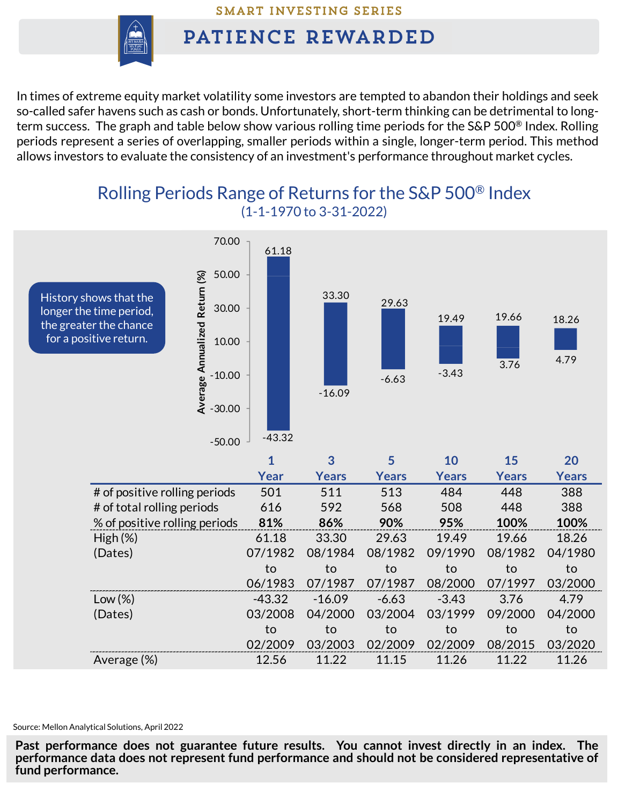SMART INVESTING SERIES

## PATIENCE REWARDED

In times of extreme equity market volatility some investors are tempted to abandon their holdings and seek so-called safer havens such as cash or bonds. Unfortunately, short-term thinking can be detrimental to longterm success. The graph and table below show various rolling time periods for the S&P 500<sup>®</sup> Index. Rolling periods represent a series of overlapping, smaller periods within a single, longer-term period. This method allows investors to evaluate the consistency of an investment's performance throughout market cycles.

## Rolling Periods Range of Returns for the S&P 500® Index (1-1-1970 to 3-31-2022)



Source: Mellon Analytical Solutions, April 2022

**Past performance does not guarantee future results. You cannot invest directly in an index. The performance data does not represent fund performance and should not be considered representative of fund performance.**